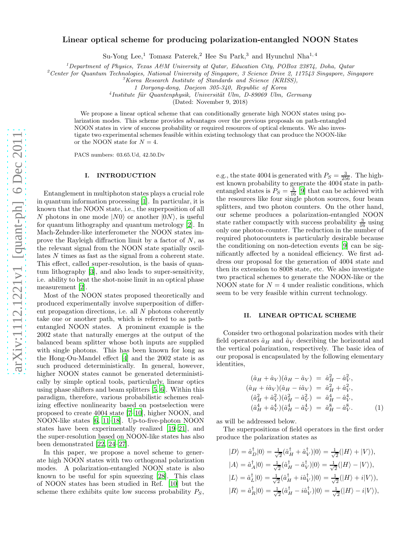# Linear optical scheme for producing polarization-entangled NOON States

Su-Yong Lee,<sup>1</sup> Tomasz Paterek,<sup>2</sup> Hee Su Park,<sup>3</sup> and Hyunchul Nha<sup>1,4</sup>

<sup>1</sup>Department of Physics, Texas A&M University at Qatar, Education City, POBox 23874, Doha, Qatar

<sup>2</sup>Center for Quantum Technologies, National University of Singapore, 3 Science Drive 2, 117543 Singapore, Singapore

<sup>3</sup>Korea Research Institute of Standards and Science (KRISS),

1 Doryong-dong, Daejeon 305-340, Republic of Korea

<sup>4</sup> Institute für Quantenphysik, Universität Ulm, D-89069 Ulm, Germany

(Dated: November 9, 2018)

We propose a linear optical scheme that can conditionally generate high NOON states using polarization modes. This scheme provides advantages over the previous proposals on path-entangled NOON states in view of success probability or required resources of optical elements. We also investigate two experimental schemes feasible within existing technology that can produce the NOON-like or the NOON state for  $N = 4$ .

PACS numbers: 03.65.Ud, 42.50.Dv

### I. INTRODUCTION

Entanglement in multiphoton states plays a crucial role in quantum information processing [\[1\]](#page-3-0). In particular, it is known that the NOON state, i.e., the superposition of all N photons in one mode  $|N0\rangle$  or another  $|0N\rangle$ , is useful for quantum lithography and quantum metrology [\[2\]](#page-3-1). In Mach-Zehnder-like interferometer the NOON states improve the Rayleigh diffraction limit by a factor of  $N$ , as the relevant signal from the NOON state spatially oscillates N times as fast as the signal from a coherent state. This effect, called super-resolution, is the basis of quantum lithography [\[3](#page-3-2)], and also leads to super-sensitivity, i.e. ability to beat the shot-noise limit in an optical phase measurement [\[2\]](#page-3-1).

Most of the NOON states proposed theoretically and produced experimentally involve superposition of different propagation directions, i.e. all N photons coherently take one or another path, which is referred to as pathentangled NOON states. A prominent example is the 2002 state that naturally emerges at the output of the balanced beam splitter whose both inputs are supplied with single photons. This has been known for long as the Hong-Ou-Mandel effect [\[4\]](#page-3-3) and the 2002 state is as such produced deterministically. In general, however, higher NOON states cannot be generated deterministically by simple optical tools, particularly, linear optics using phase shifters and beam splitters [\[5,](#page-3-4) [6](#page-3-5)]. Within this paradigm, therefore, various probabilistic schemes realizing effective nonlinearity based on postselection were proposed to create 4004 state [\[7](#page-3-6)[–10\]](#page-3-7), higher NOON, and NOON-like states [\[6,](#page-3-5) [11](#page-3-8)[–18](#page-3-9)]. Up-to-five-photon NOON states have been experimentally realized [\[19](#page-3-10)[–21\]](#page-3-11), and the super-resolution based on NOON-like states has also been demonstrated [\[22,](#page-3-12) [24](#page-3-13)[–27\]](#page-3-14).

In this paper, we propose a novel scheme to generate high NOON states with two orthogonal polarization modes. A polarization-entangled NOON state is also known to be useful for spin squeezing [\[28\]](#page-4-0). This class of NOON states has been studied in Ref. [\[10](#page-3-7)] but the scheme there exhibits quite low success probability  $P<sub>S</sub>$ ,

e.g., the state 4004 is generated with  $P_S = \frac{3}{256}$ . The highest known probability to generate the 4004 state in pathentangled states is  $P_S = \frac{3}{16}$  [\[9\]](#page-3-15) that can be achieved with the resources like four single photon sources, four beam splitters, and two photon counters. On the other hand, our scheme produces a polarization-entangled NOON state rather compactly with success probability  $\frac{3}{16}$  using only one photon-counter. The reduction in the number of required photocounters is particularly desirable because the conditioning on non-detection events [\[9\]](#page-3-15) can be significantly affected by a nonideal efficiency. We first address our proposal for the generation of 4004 state and then its extension to 8008 state, etc. We also investigate two practical schemes to generate the NOON-like or the NOON state for  $N = 4$  under realistic conditions, which seem to be very feasible within current technology.

## II. LINEAR OPTICAL SCHEME

Consider two orthogonal polarization modes with their field operators  $\hat{a}_H$  and  $\hat{a}_V$  describing the horizontal and the vertical polarization, respectively. The basic idea of our proposal is encapsulated by the following elementary identities,

<span id="page-0-0"></span>
$$
(\hat{a}_H + \hat{a}_V)(\hat{a}_H - \hat{a}_V) = \hat{a}_H^2 - \hat{a}_V^2,
$$
  
\n
$$
(\hat{a}_H + i\hat{a}_V)(\hat{a}_H - i\hat{a}_V) = \hat{a}_H^2 + \hat{a}_V^2,
$$
  
\n
$$
(\hat{a}_H^2 + \hat{a}_V^2)(\hat{a}_H^2 - \hat{a}_V^2) = \hat{a}_H^4 - \hat{a}_V^4,
$$
  
\n
$$
(\hat{a}_H^4 + \hat{a}_V^4)(\hat{a}_H^4 - \hat{a}_V^4) = \hat{a}_H^8 - \hat{a}_V^8.
$$
 (1)

as will be addressed below.

The superpositions of field operators in the first order produce the polarization states as

$$
|D\rangle = \hat{a}_D^{\dagger} |0\rangle = \frac{1}{\sqrt{2}} (\hat{a}_H^{\dagger} + \hat{a}_V^{\dagger}) |0\rangle = \frac{1}{\sqrt{2}} (|H\rangle + |V\rangle),
$$
  
\n
$$
|A\rangle = \hat{a}_A^{\dagger} |0\rangle = \frac{1}{\sqrt{2}} (\hat{a}_H^{\dagger} - \hat{a}_V^{\dagger}) |0\rangle = \frac{1}{\sqrt{2}} (|H\rangle - |V\rangle),
$$
  
\n
$$
|L\rangle = \hat{a}_L^{\dagger} |0\rangle = \frac{1}{\sqrt{2}} (\hat{a}_H^{\dagger} + i\hat{a}_V^{\dagger}) |0\rangle = \frac{1}{\sqrt{2}} (|H\rangle + i|V\rangle),
$$
  
\n
$$
|R\rangle = \hat{a}_R^{\dagger} |0\rangle = \frac{1}{\sqrt{2}} (\hat{a}_H^{\dagger} - i\hat{a}_V^{\dagger}) |0\rangle = \frac{1}{\sqrt{2}} (|H\rangle - i|V\rangle),
$$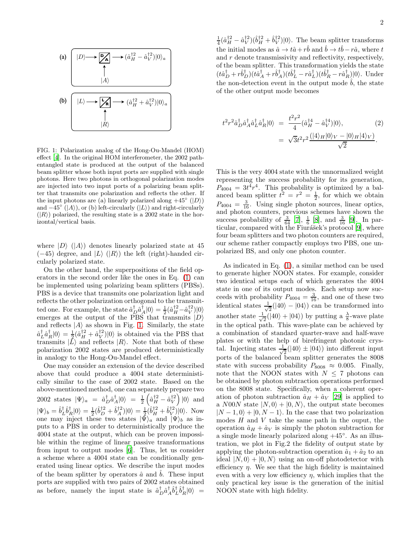

<span id="page-1-0"></span>FIG. 1: Polarization analog of the Hong-Ou-Mandel (HOM) effect [\[4](#page-3-3)]. In the original HOM interferometer, the 2002 pathentangled state is produced at the output of the balanced beam splitter whose both input ports are supplied with single photons. Here two photons in orthogonal polarization modes are injected into two input ports of a polarizing beam splitter that transmits one polarization and reflects the other. If the input photons are (a) linearly polarized along  $+45^{\circ}$  ( $|D\rangle$ ) and  $-45^\circ$  (|A)), or (b) left-circularly (|L)) and right-circularly  $(|R\rangle)$  polarized, the resulting state is a 2002 state in the horizontal/vertical basis.

where  $|D\rangle$  ( $|A\rangle$ ) denotes linearly polarized state at 45  $(-45)$  degree, and  $|L\rangle$  ( $|R\rangle$ ) the left (right)-handed circularly polarized state.

On the other hand, the superpositions of the field operators in the second order like the ones in Eq. [\(1\)](#page-0-0) can be implemented using polarizing beam splitters (PBSs). PBS is a device that transmits one polarization light and reflects the other polarization orthogonal to the transmitted one. For example, the state  $\hat{a}^{\dagger}_{D}\hat{a}^{\dagger}_{A}|0\rangle = \frac{1}{2}(\hat{a}^{\dagger 2}_{H} - \hat{a}^{\dagger 2}_{V})|0\rangle$ emerges at the output of the PBS that transmits  $|D\rangle$ and reflects  $|A\rangle$  as shown in Fig. [1.](#page-1-0) Similarly, the state  $\hat{a}_L^{\dagger} \hat{a}_R^{\dagger} |0\rangle = \frac{1}{2} (\hat{a}_H^{\dagger 2} + \hat{a}_V^{\dagger 2}) |0\rangle$  is obtained via the PBS that transmits  $|L\rangle$  and reflects  $|R\rangle$ . Note that both of these polarization 2002 states are produced deterministically in analogy to the Hong-Ou-Mandel effect.

One may consider an extension of the device described above that could produce a 4004 state deterministically similar to the case of 2002 state. Based on the above-mentioned method, one can separately prepare two 2002 states  $|\Psi\rangle_a = \hat{a}^{\dagger}_D \hat{a}^{\dagger}_A |0\rangle = \frac{1}{2} \left( \hat{a}^{\dagger 2}_H - \hat{a}^{\dagger 2}_V \right) |0\rangle$  and  $|\Psi\rangle_b = \hat{b}^{\dagger}_L \hat{b}^{\dagger}_R |0\rangle = \frac{1}{2} (\hat{b}^{\dagger 2}_D + \hat{b}^{\dagger 2}_A) |0\rangle = \frac{1}{2} (\hat{b}^{\dagger 2}_H + \hat{b}^{\dagger 2}_V) |0\rangle$ . Now one may inject these two states  $|\bar{\Psi}\rangle_a$  and  $|\Psi\rangle_b$  as inputs to a PBS in order to deterministically produce the 4004 state at the output, which can be proven impossible within the regime of linear passive transformations from input to output modes [\[6](#page-3-5)]. Thus, let us consider a scheme where a 4004 state can be conditionally generated using linear optics. We describe the input modes of the beam splitter by operators  $\hat{a}$  and  $\hat{b}$ . These input ports are supplied with two pairs of 2002 states obtained as before, namely the input state is  $\hat{a}^{\dagger}_D \hat{a}^{\dagger}_A \hat{b}^{\dagger}_L \hat{b}^{\dagger}_R |0\rangle =$ 

 $\frac{1}{4}(\hat{a}_H^{\dagger 2} - \hat{a}_V^{\dagger 2})(\hat{b}_H^{\dagger 2} + \hat{b}_V^{\dagger 2})|0\rangle$ . The beam splitter transforms the initial modes as  $\hat{a} \to t\hat{a} + r\hat{b}$  and  $\hat{b} \to t\hat{b} - r\hat{a}$ , where t and r denote transmissivity and reflectivity, respectively, of the beam splitter. This transformation yields the state  $(t\hat{a}^{\dagger}_{D}+r\hat{b}^{\dagger}_{D})(t\hat{a}^{\dagger}_{A}+r\hat{b}^{\dagger}_{A})(t\hat{b}^{\dagger}_{L}-r\hat{a}^{\dagger}_{L})(t\hat{b}^{\dagger}_{R}-r\hat{a}^{\dagger}_{R})|0\rangle$ . Under the non-detection event in the output mode  $\hat{b}$ , the state of the other output mode becomes

$$
t^{2}r^{2}\hat{a}_{D}^{\dagger}\hat{a}_{A}^{\dagger}\hat{a}_{L}^{\dagger}\hat{a}_{R}^{\dagger}|0\rangle = \frac{t^{2}r^{2}}{4}(\hat{a}_{H}^{14} - \hat{a}_{V}^{14})|0\rangle, \qquad (2)
$$

$$
= \sqrt{3}t^{2}r^{2}\frac{(|4\rangle_{H}|0\rangle_{V} - |0\rangle_{H}|4\rangle_{V})}{\sqrt{2}}.
$$

This is the very 4004 state with the unnormalized weight representing the success probability for its generation,  $P_{4004} = 3t^4r^4$ . This probability is optimized by a balanced beam splitter  $t^2 = r^2 = \frac{1}{2}$ , for which we obtain  $P_{4004} = \frac{3}{16}$ . Using single photon sources, linear optics, and photon counters, previous schemes have shown the success probability of  $\frac{3}{64}$  [\[7\]](#page-3-6),  $\frac{1}{6}$  [\[8](#page-3-16)], and  $\frac{3}{16}$  [\[9\]](#page-3-15). In par-ticular, compared with the Fiurášek's protocol [\[9](#page-3-15)], where four beam splitters and two photon counters are required, our scheme rather compactly employs two PBS, one unpolarized BS, and only one photon counter.

As indicated in Eq. [\(1\)](#page-0-0), a similar method can be used to generate higher NOON states. For example, consider two identical setups each of which generates the 4004 state in one of its output modes. Each setup now succeeds with probability  $P_{4004} = \frac{3}{16}$ , and one of these two identical states  $\frac{1}{\sqrt{2}}$  $\frac{1}{2}(|40\rangle - |04\rangle)$  can be transformed into another state  $\frac{1}{\sqrt{2}}$  $\frac{1}{2}(|40\rangle + |04\rangle)$  by putting a  $\frac{\lambda}{8}$ -wave plate in the optical path. This wave-plate can be achieved by a combination of standard quarter-wave and half-wave plates or with the help of birefringent photonic crystal. Injecting states  $\frac{1}{\sqrt{2}}$  $\frac{1}{2}(|40\rangle \pm |04\rangle)$  into different input ports of the balanced beam splitter generates the 8008 state with success probability  $P_{8008} \approx 0.005$ . Finally, note that the NOON states with  $N \leq 7$  photons can be obtained by photon subtraction operations performed on the 8008 state. Specifically, when a coherent operation of photon subtraction  $\hat{a}_H + \hat{a}_V$  [\[29\]](#page-4-1) is applied to a N00N state  $|N, 0\rangle + |0, N\rangle$ , the output state becomes  $|N - 1, 0\rangle + |0, N - 1\rangle$ . In the case that two polarization modes  $H$  and  $V$  take the same path in the ouput, the operation  $\hat{a}_H + \hat{a}_V$  is simply the photon subtraction for a single mode linearly polarized along +45◦ . As an illustration, we plot in Fig.2 the fidelity of output state by applying the photon-subtraction operation  $\hat{a}_1 + \hat{a}_2$  to an ideal  $|N, 0\rangle + |0, N\rangle$  using an on-off photodetector with efficiency  $\eta$ . We see that the high fidelity is maintained even with a very low efficiency  $\eta$ , which implies that the only practical key issue is the generation of the initial NOON state with high fidelity.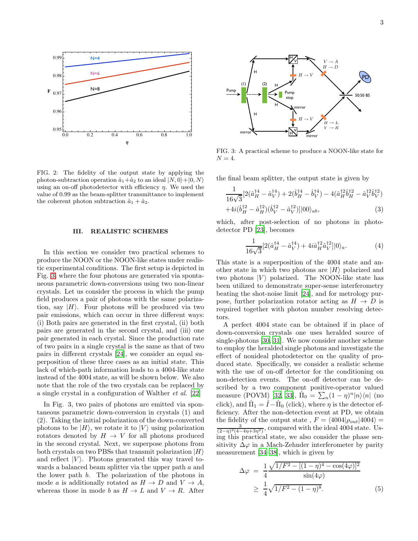

FIG. 2: The fidelity of the output state by applying the photon-subtraction operation  $\hat{a}_1+\hat{a}_2$  to an ideal  $|N, 0\rangle + |0, N\rangle$ using an on-off photodetector with efficiency  $\eta$ . We used the value of 0.99 as the beam-splitter transmittance to implement the coherent photon subtraction  $\hat{a}_1 + \hat{a}_2$ .

# III. REALISTIC SCHEMES

In this section we consider two practical schemes to produce the NOON or the NOON-like states under realistic experimental conditions. The first setup is depicted in Fig. [3,](#page-2-0) where the four photons are generated via spontaneous parametric down-conversions using two non-linear crystals. Let us consider the process in which the pump field produces a pair of photons with the same polarization, say  $|H\rangle$ . Four photons will be produced via two pair emissions, which can occur in three different ways: (i) Both pairs are generated in the first crystal, (ii) both pairs are generated in the second crystal, and (iii) one pair generated in each crystal. Since the production rate of two pairs in a single crystal is the same as that of two pairs in different crystals [\[24\]](#page-3-13), we consider an equal superposition of these three cases as an initial state. This lack of which-path information leads to a 4004-like state instead of the 4004 state, as will be shown below. We also note that the role of the two crystals can be replaced by a single crystal in a configuration of Walther et al. [\[22\]](#page-3-12)

In Fig. 3, two pairs of photons are emitted via spontaneous parametric down-conversion in crystals (1) and (2). Taking the initial polarization of the down-converted photons to be  $|H\rangle$ , we rotate it to  $|V\rangle$  using polarization rotators denoted by  $H \to V$  for all photons produced in the second crystal. Next, we superpose photons from both crystals on two PBSs that transmit polarization  $|H\rangle$ and reflect  $|V\rangle$ . Photons generated this way travel towards a balanced beam splitter via the upper path a and the lower path b. The polarization of the photons in mode a is additionally rotated as  $H \to D$  and  $V \to A$ , whereas those in mode b as  $H \to L$  and  $V \to R$ . After



<span id="page-2-0"></span>FIG. 3: A practical scheme to produce a NOON-like state for  $N = 4$ .

the final beam splitter, the output state is given by

$$
\frac{1}{16\sqrt{3}}[2(\hat{a}_{H}^{\dagger4} - \hat{a}_{V}^{\dagger4}) + 2(\hat{b}_{H}^{\dagger4} - \hat{b}_{V}^{\dagger4}) - 4(\hat{a}_{H}^{\dagger2}\hat{b}_{H}^{\dagger2} - \hat{a}_{V}^{\dagger2}\hat{b}_{V}^{\dagger2})
$$
  
+4*i*( $\hat{b}_{H}^{\dagger2} - \hat{a}_{H}^{\dagger2}$ )( $\hat{b}_{V}^{\dagger2} - \hat{a}_{V}^{\dagger2}$ )]|00\rangle<sub>ab</sub>, (3)

which, after post-selection of no photons in photodetector PD [\[23](#page-3-17)], becomes

$$
\frac{1}{16\sqrt{3}}[2(\hat{a}_H^{\dagger 4} - \hat{a}_V^{\dagger 4}) + 4i\hat{a}_H^{\dagger 2}\hat{a}_V^{\dagger 2}]|0\rangle_a.
$$
 (4)

This state is a superposition of the 4004 state and another state in which two photons are  $|H\rangle$  polarized and two photons  $|V\rangle$  polarized. The NOON-like state has been utilized to demonstrate super-sense interferometry beating the shot-noise limit [\[24](#page-3-13)], and for metrology purpose, further polarization rotator acting as  $H \to D$  is required together with photon number resolving detectors.

A perfect 4004 state can be obtained if in place of down-conversion crystals one uses heralded source of single-photons [\[30,](#page-4-2) [31](#page-4-3)]. We now consider another scheme to employ the heralded single photons and investigate the effect of nonideal photodetector on the quality of produced state. Specifically, we consider a realistic scheme with the use of on-off detector for the conditioning on non-detection events. The on-off detector can be described by a two component positive-operator valued measure (POVM) [\[32,](#page-4-4) [33\]](#page-4-5),  $\hat{\Pi}_0 = \sum_n (1 - \eta)^n |n\rangle\langle n|$  (no click), and  $\hat{\Pi}_1 = \hat{I} - \hat{\Pi}_0$  (click), where  $\eta$  is the detector efficiency. After the non-detection event at PD, we obtain the fidelity of the output state,  $F = \langle 4004|\rho_{out}|4004 \rangle =$  $\frac{3}{(2-\eta)^2(4-4\eta+3\eta^2)}$ , compared with the ideal 4004 state. Using this practical state, we also consider the phase sensitivity  $\Delta\varphi$  in a Mach-Zehnder interferometer by parity measurement [\[34–](#page-4-6)[38\]](#page-4-7), which is given by

$$
\Delta \varphi = \frac{1}{4} \frac{\sqrt{1/F^2 - [(1 - \eta)^4 - \cos(4\varphi)]^2}}{\sin(4\varphi)}
$$
  
 
$$
\geq \frac{1}{4} \sqrt{1/F^2 - (1 - \eta)^8}.
$$
 (5)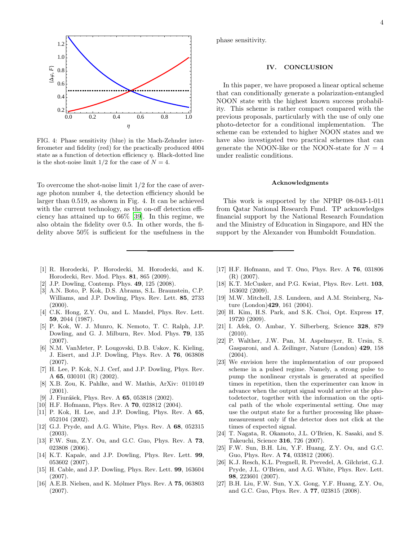

FIG. 4: Phase sensitivity (blue) in the Mach-Zehnder interferometer and fidelity (red) for the practically produced 4004 state as a function of detection efficiency  $\eta$ . Black-dotted line is the shot-noise limit  $1/2$  for the case of  $N = 4$ .

To overcome the shot-noise limit 1/2 for the case of average photon number 4, the detection efficiency should be larger than 0.519, as shown in Fig. 4. It can be achieved with the current technology, as the on-off detection efficiency has attained up to 66% [\[39\]](#page-4-8). In this regime, we also obtain the fidelity over 0.5. In other words, the fidelity above 50% is sufficient for the usefulness in the

- <span id="page-3-0"></span>[1] R. Horodecki, P. Horodecki, M. Horodecki, and K. Horodecki, Rev. Mod. Phys. 81, 865 (2009).
- <span id="page-3-1"></span>[2] J.P. Dowling, Contemp. Phys. 49, 125 (2008).
- <span id="page-3-2"></span>[3] A.N. Boto, P. Kok, D.S. Abrams, S.L. Braunstein, C.P. Williams, and J.P. Dowling, Phys. Rev. Lett. 85, 2733  $(2000).$
- <span id="page-3-3"></span>[4] C.K. Hong, Z.Y. Ou, and L. Mandel, Phys. Rev. Lett. 59, 2044 (1987).
- <span id="page-3-4"></span>[5] P. Kok, W. J. Munro, K. Nemoto, T. C. Ralph, J.P. Dowling, and G. J. Milburn, Rev. Mod. Phys. 79, 135 (2007).
- <span id="page-3-5"></span>[6] N.M. VanMeter, P. Lougovski, D.B. Uskov, K. Kieling, J. Eisert, and J.P. Dowling, Phys. Rev. A 76, 063808 (2007).
- <span id="page-3-6"></span>[7] H. Lee, P. Kok, N.J. Cerf, and J.P. Dowling, Phys. Rev. A 65, 030101 (R) (2002).
- <span id="page-3-16"></span>[8] X.B. Zou, K. Pahlke, and W. Mathis, ArXiv: 0110149 (2001).
- <span id="page-3-15"></span>[9] J. Fiurášek, Phys. Rev. A  $65$ , 053818 (2002).
- <span id="page-3-7"></span>[10] H.F. Hofmann, Phys. Rev. A **70**, 023812 (2004).
- <span id="page-3-8"></span>[11] P. Kok, H. Lee, and J.P. Dowling, Phys. Rev. A 65, 052104 (2002).
- [12] G.J. Pryde, and A.G. White, Phys. Rev. A 68, 052315 (2003).
- [13] F.W. Sun, Z.Y. Ou, and G.C. Guo, Phys. Rev. A 73, 023808 (2006).
- [14] K.T. Kapale, and J.P. Dowling, Phys. Rev. Lett. 99, 053602 (2007).
- [15] H. Cable, and J.P. Dowling, Phys. Rev. Lett. 99, 163604 (2007).
- [16] A.E.B. Nielsen, and K. Mølmer Phys. Rev. A 75, 063803 (2007).

phase sensitivity.

### IV. CONCLUSION

In this paper, we have proposed a linear optical scheme that can conditionally generate a polarization-entangled NOON state with the highest known success probability. This scheme is rather compact compared with the previous proposals, particularly with the use of only one photo-detector for a conditional implementation. The scheme can be extended to higher NOON states and we have also investigated two practical schemes that can generate the NOON-like or the NOON-state for  $N = 4$ under realistic conditions.

### Acknowledgments

This work is supported by the NPRP 08-043-1-011 from Qatar National Research Fund. TP acknowledges financial support by the National Research Foundation and the Ministry of Education in Singapore, and HN the support by the Alexander von Humboldt Foundation.

- [17] H.F. Hofmann, and T. Ono, Phys. Rev. A 76, 031806 (R) (2007).
- <span id="page-3-9"></span>[18] K.T. McCusker, and P.G. Kwiat, Phys. Rev. Lett. 103, 163602 (2009).
- <span id="page-3-10"></span>[19] M.W. Mitchell, J.S. Lundeen, and A.M. Steinberg, Nature (London)429, 161 (2004).
- [20] H. Kim, H.S. Park, and S.K. Choi, Opt. Express 17, 19720 (2009).
- <span id="page-3-11"></span>[21] I. Afek, O. Ambar, Y. Silberberg, Science 328, 879 (2010).
- <span id="page-3-12"></span>[22] P. Walther, J.W. Pan, M. Aspelmeyer, R. Ursin, S. Gasparoni, and A. Zeilinger, Nature (London) 429, 158  $(2004)$ .
- <span id="page-3-17"></span>[23] We envision here the implementation of our proposed scheme in a pulsed regime. Namely, a strong pulse to pump the nonlinear crystals is generated at specified times in repetition, then the experimenter can know in advance when the output signal would arrive at the photodetector, together with the information on the optical path of the whole experimental setting. One may use the output state for a further processing like phasemeasurement only if the detector does not click at the times of expected signal.
- <span id="page-3-13"></span>[24] T. Nagata, R. Okamoto, J.L. O'Brien, K. Sasaki, and S. Takeuchi, Science 316, 726 (2007).
- [25] F.W. Sun, B.H. Liu, Y.F. Huang, Z.Y. Ou, and G.C. Guo, Phys. Rev. A 74, 033812 (2006).
- [26] K.J. Resch, K.L. Pregnell, R. Prevedel, A. Gilchrist, G.J. Pryde, J.L. O'Brien, and A.G. White, Phys. Rev. Lett. 98, 223601 (2007).
- <span id="page-3-14"></span>[27] B.H. Liu, F.W. Sun, Y.X. Gong, Y.F. Huang, Z.Y. Ou, and G.C. Guo, Phys. Rev. A 77, 023815 (2008).